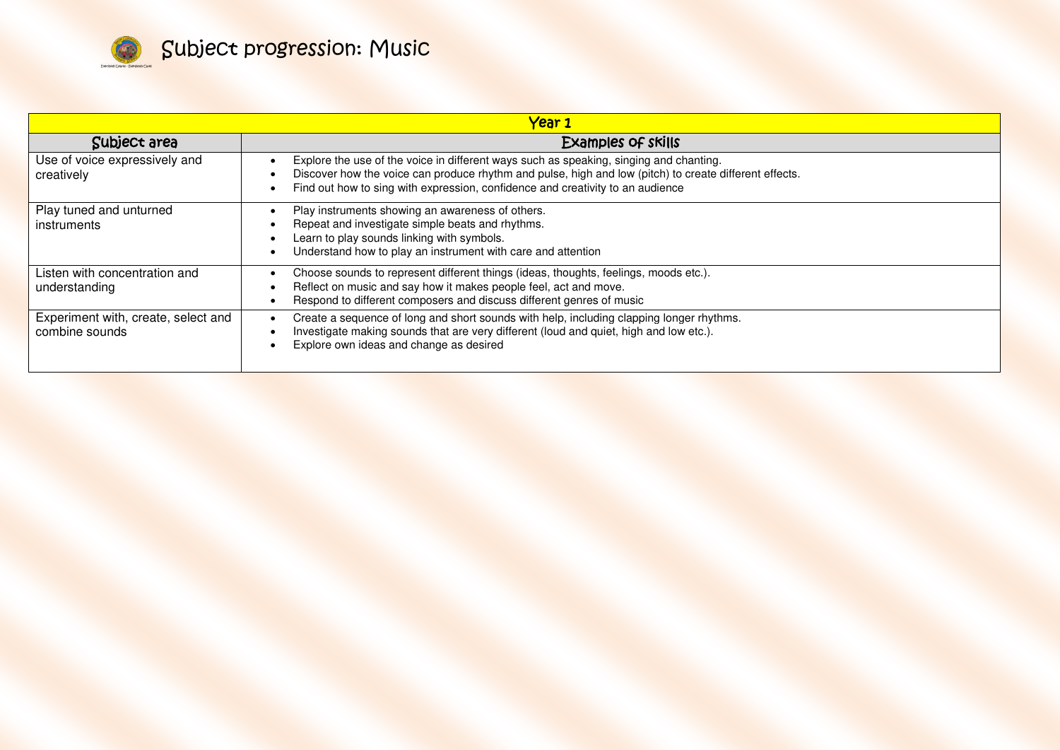

| <u>Year 1</u>                                         |                                                                                                                                                                                                                                                                                    |
|-------------------------------------------------------|------------------------------------------------------------------------------------------------------------------------------------------------------------------------------------------------------------------------------------------------------------------------------------|
| Subject area                                          | Examples of skills                                                                                                                                                                                                                                                                 |
| Use of voice expressively and<br>creatively           | Explore the use of the voice in different ways such as speaking, singing and chanting.<br>Discover how the voice can produce rhythm and pulse, high and low (pitch) to create different effects.<br>Find out how to sing with expression, confidence and creativity to an audience |
| Play tuned and unturned<br><i>instruments</i>         | Play instruments showing an awareness of others.<br>Repeat and investigate simple beats and rhythms.<br>Learn to play sounds linking with symbols.<br>Understand how to play an instrument with care and attention                                                                 |
| Listen with concentration and<br>understanding        | Choose sounds to represent different things (ideas, thoughts, feelings, moods etc.).<br>Reflect on music and say how it makes people feel, act and move.<br>Respond to different composers and discuss different genres of music                                                   |
| Experiment with, create, select and<br>combine sounds | Create a sequence of long and short sounds with help, including clapping longer rhythms.<br>Investigate making sounds that are very different (loud and quiet, high and low etc.).<br>Explore own ideas and change as desired                                                      |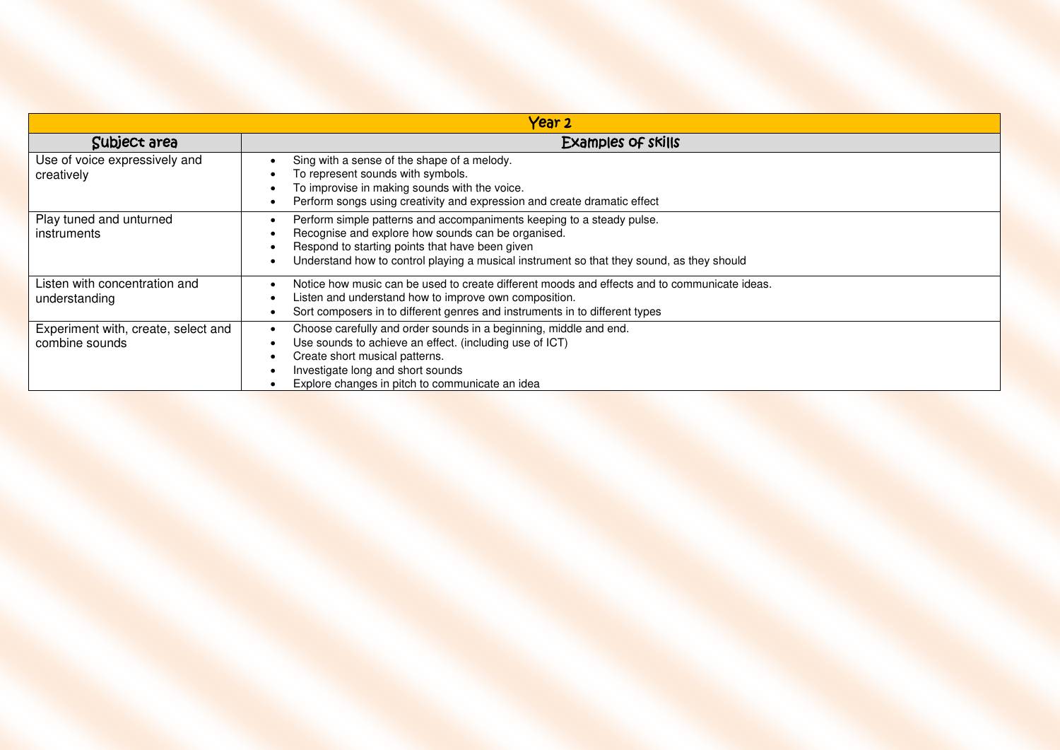| Year <sub>2</sub>                                     |                                                                                                                                                                                                                                                                             |
|-------------------------------------------------------|-----------------------------------------------------------------------------------------------------------------------------------------------------------------------------------------------------------------------------------------------------------------------------|
| Subject area                                          | Examples of skills                                                                                                                                                                                                                                                          |
| Use of voice expressively and<br>creatively           | Sing with a sense of the shape of a melody.<br>To represent sounds with symbols.<br>To improvise in making sounds with the voice.<br>Perform songs using creativity and expression and create dramatic effect                                                               |
| Play tuned and unturned<br>instruments                | Perform simple patterns and accompaniments keeping to a steady pulse.<br>Recognise and explore how sounds can be organised.<br>Respond to starting points that have been given<br>Understand how to control playing a musical instrument so that they sound, as they should |
| Listen with concentration and<br>understanding        | Notice how music can be used to create different moods and effects and to communicate ideas.<br>Listen and understand how to improve own composition.<br>Sort composers in to different genres and instruments in to different types                                        |
| Experiment with, create, select and<br>combine sounds | Choose carefully and order sounds in a beginning, middle and end.<br>Use sounds to achieve an effect. (including use of ICT)<br>Create short musical patterns.<br>Investigate long and short sounds<br>Explore changes in pitch to communicate an idea                      |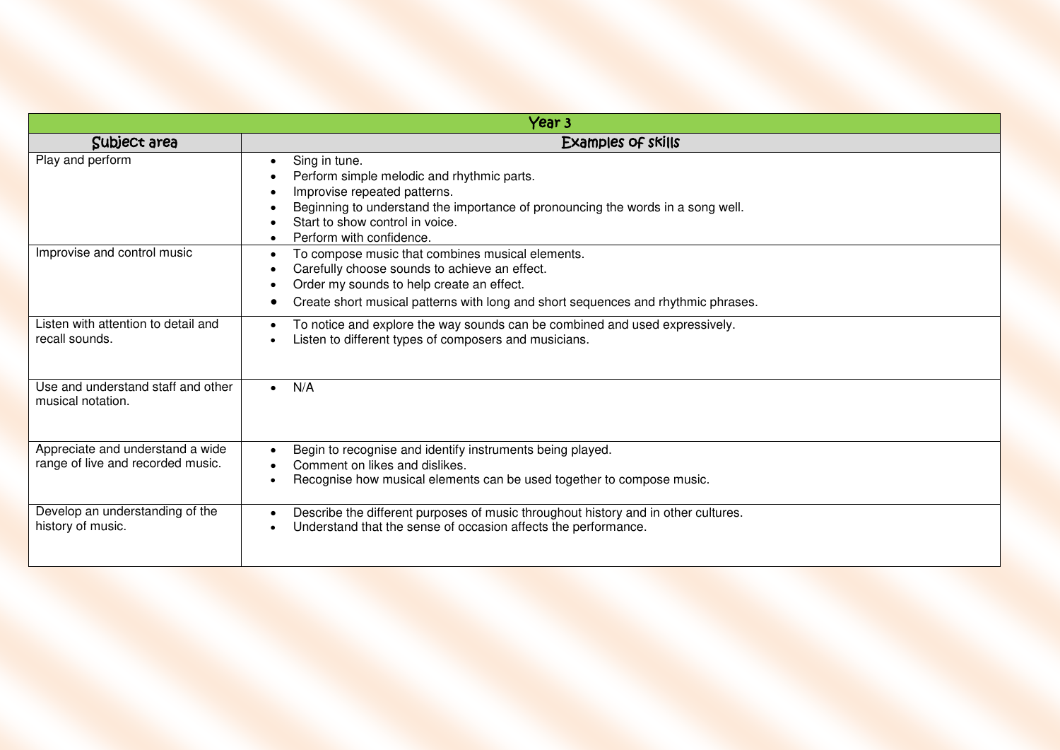| Year <sub>3</sub>                                                     |                                                                                                                                                                                                                                                               |  |
|-----------------------------------------------------------------------|---------------------------------------------------------------------------------------------------------------------------------------------------------------------------------------------------------------------------------------------------------------|--|
| Subject area                                                          | <b>Examples of skills</b>                                                                                                                                                                                                                                     |  |
| Play and perform                                                      | Sing in tune.<br>$\bullet$<br>Perform simple melodic and rhythmic parts.<br>Improvise repeated patterns.<br>Beginning to understand the importance of pronouncing the words in a song well.<br>Start to show control in voice.<br>Perform with confidence.    |  |
| Improvise and control music                                           | To compose music that combines musical elements.<br>$\bullet$<br>Carefully choose sounds to achieve an effect.<br>Order my sounds to help create an effect.<br>Create short musical patterns with long and short sequences and rhythmic phrases.<br>$\bullet$ |  |
| Listen with attention to detail and<br>recall sounds.                 | To notice and explore the way sounds can be combined and used expressively.<br>Listen to different types of composers and musicians.                                                                                                                          |  |
| Use and understand staff and other<br>musical notation.               | N/A<br>$\bullet$                                                                                                                                                                                                                                              |  |
| Appreciate and understand a wide<br>range of live and recorded music. | Begin to recognise and identify instruments being played.<br>Comment on likes and dislikes.<br>Recognise how musical elements can be used together to compose music.                                                                                          |  |
| Develop an understanding of the<br>history of music.                  | Describe the different purposes of music throughout history and in other cultures.<br>Understand that the sense of occasion affects the performance.                                                                                                          |  |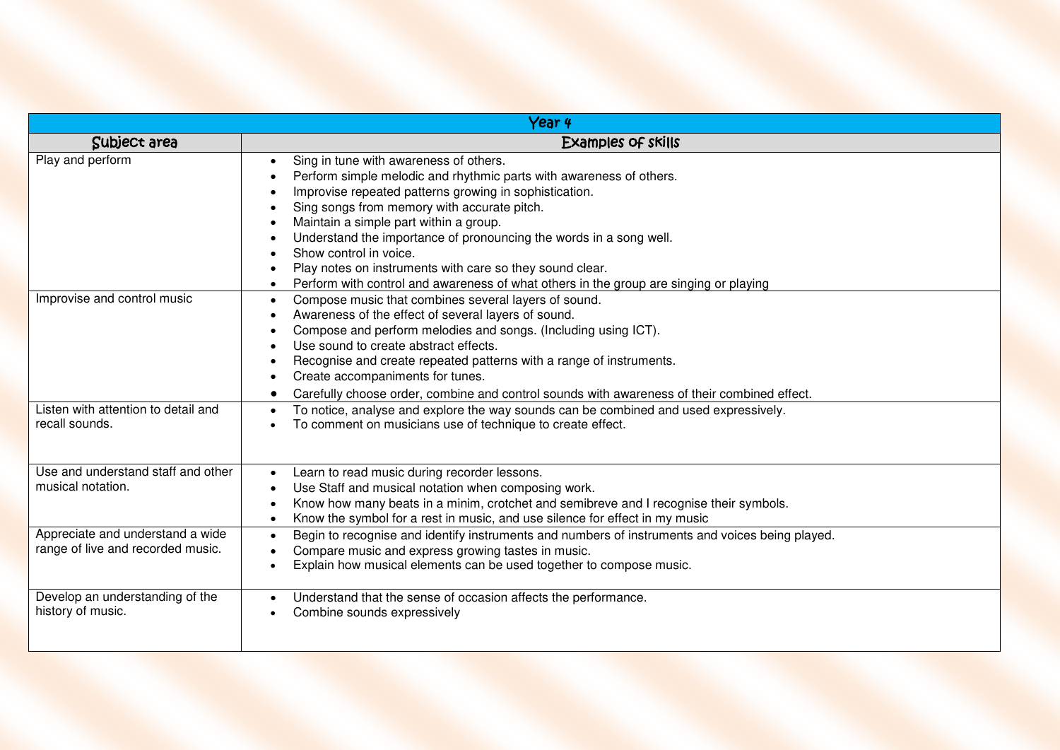| Year <sub>4</sub>                                                     |                                                                                                                                                                                                                                                                                                                                                                                                                                                                                                                                                 |
|-----------------------------------------------------------------------|-------------------------------------------------------------------------------------------------------------------------------------------------------------------------------------------------------------------------------------------------------------------------------------------------------------------------------------------------------------------------------------------------------------------------------------------------------------------------------------------------------------------------------------------------|
| Subject area                                                          | Examples of skills                                                                                                                                                                                                                                                                                                                                                                                                                                                                                                                              |
| Play and perform                                                      | Sing in tune with awareness of others.<br>$\bullet$<br>Perform simple melodic and rhythmic parts with awareness of others.<br>Improvise repeated patterns growing in sophistication.<br>Sing songs from memory with accurate pitch.<br>Maintain a simple part within a group.<br>Understand the importance of pronouncing the words in a song well.<br>Show control in voice.<br>Play notes on instruments with care so they sound clear.<br>Perform with control and awareness of what others in the group are singing or playing<br>$\bullet$ |
| Improvise and control music                                           | Compose music that combines several layers of sound.<br>$\bullet$<br>Awareness of the effect of several layers of sound.<br>$\bullet$<br>Compose and perform melodies and songs. (Including using ICT).<br>$\bullet$<br>Use sound to create abstract effects.<br>$\bullet$<br>Recognise and create repeated patterns with a range of instruments.<br>$\bullet$<br>Create accompaniments for tunes.<br>Carefully choose order, combine and control sounds with awareness of their combined effect.                                               |
| Listen with attention to detail and<br>recall sounds.                 | To notice, analyse and explore the way sounds can be combined and used expressively.<br>To comment on musicians use of technique to create effect.                                                                                                                                                                                                                                                                                                                                                                                              |
| Use and understand staff and other<br>musical notation.               | Learn to read music during recorder lessons.<br>$\bullet$<br>Use Staff and musical notation when composing work.<br>Know how many beats in a minim, crotchet and semibreve and I recognise their symbols.<br>Know the symbol for a rest in music, and use silence for effect in my music<br>$\bullet$                                                                                                                                                                                                                                           |
| Appreciate and understand a wide<br>range of live and recorded music. | Begin to recognise and identify instruments and numbers of instruments and voices being played.<br>$\bullet$<br>Compare music and express growing tastes in music.<br>Explain how musical elements can be used together to compose music.<br>$\bullet$                                                                                                                                                                                                                                                                                          |
| Develop an understanding of the<br>history of music.                  | Understand that the sense of occasion affects the performance.<br>Combine sounds expressively                                                                                                                                                                                                                                                                                                                                                                                                                                                   |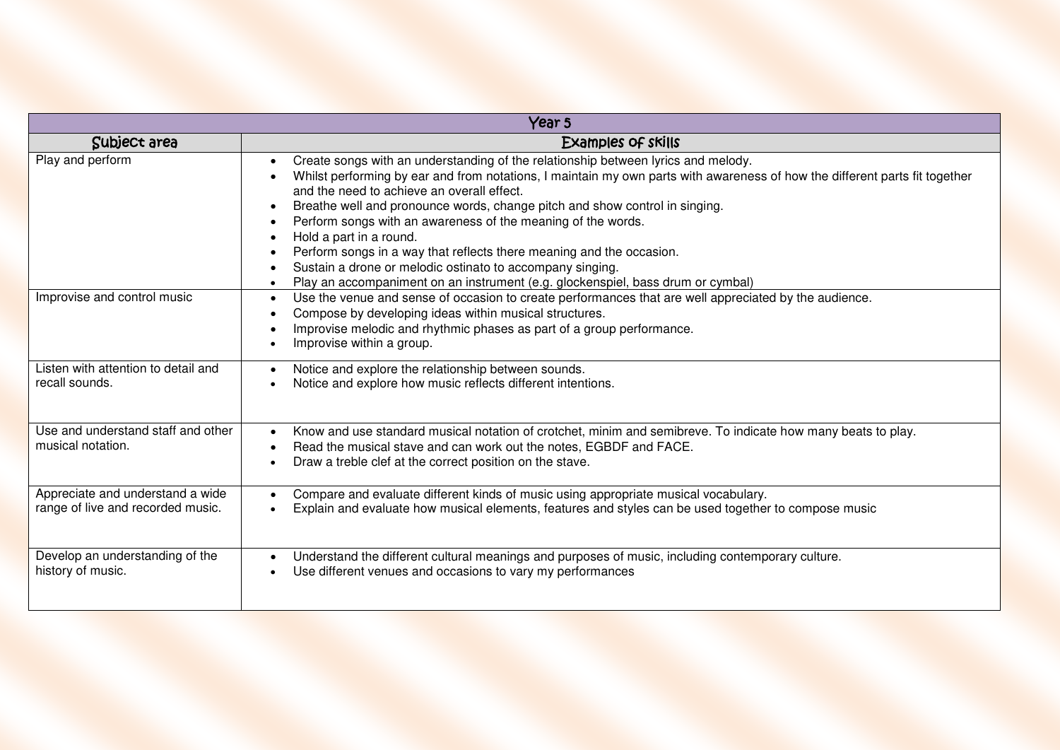| Year 5                                                                |                                                                                                                                                                                                                                                                                                                                                                                                                                                                                                                                                                                                                                                                               |
|-----------------------------------------------------------------------|-------------------------------------------------------------------------------------------------------------------------------------------------------------------------------------------------------------------------------------------------------------------------------------------------------------------------------------------------------------------------------------------------------------------------------------------------------------------------------------------------------------------------------------------------------------------------------------------------------------------------------------------------------------------------------|
| Subject area                                                          | <b>Examples of skills</b>                                                                                                                                                                                                                                                                                                                                                                                                                                                                                                                                                                                                                                                     |
| Play and perform                                                      | Create songs with an understanding of the relationship between lyrics and melody.<br>$\bullet$<br>Whilst performing by ear and from notations, I maintain my own parts with awareness of how the different parts fit together<br>and the need to achieve an overall effect.<br>Breathe well and pronounce words, change pitch and show control in singing.<br>Perform songs with an awareness of the meaning of the words.<br>Hold a part in a round.<br>Perform songs in a way that reflects there meaning and the occasion.<br>Sustain a drone or melodic ostinato to accompany singing.<br>Play an accompaniment on an instrument (e.g. glockenspiel, bass drum or cymbal) |
| Improvise and control music                                           | Use the venue and sense of occasion to create performances that are well appreciated by the audience.<br>Compose by developing ideas within musical structures.<br>Improvise melodic and rhythmic phases as part of a group performance.<br>Improvise within a group.                                                                                                                                                                                                                                                                                                                                                                                                         |
| Listen with attention to detail and<br>recall sounds.                 | Notice and explore the relationship between sounds.<br>Notice and explore how music reflects different intentions.                                                                                                                                                                                                                                                                                                                                                                                                                                                                                                                                                            |
| Use and understand staff and other<br>musical notation.               | Know and use standard musical notation of crotchet, minim and semibreve. To indicate how many beats to play.<br>$\bullet$<br>Read the musical stave and can work out the notes, EGBDF and FACE.<br>Draw a treble clef at the correct position on the stave.                                                                                                                                                                                                                                                                                                                                                                                                                   |
| Appreciate and understand a wide<br>range of live and recorded music. | Compare and evaluate different kinds of music using appropriate musical vocabulary.<br>$\bullet$<br>Explain and evaluate how musical elements, features and styles can be used together to compose music                                                                                                                                                                                                                                                                                                                                                                                                                                                                      |
| Develop an understanding of the<br>history of music.                  | Understand the different cultural meanings and purposes of music, including contemporary culture.<br>Use different venues and occasions to vary my performances                                                                                                                                                                                                                                                                                                                                                                                                                                                                                                               |

l